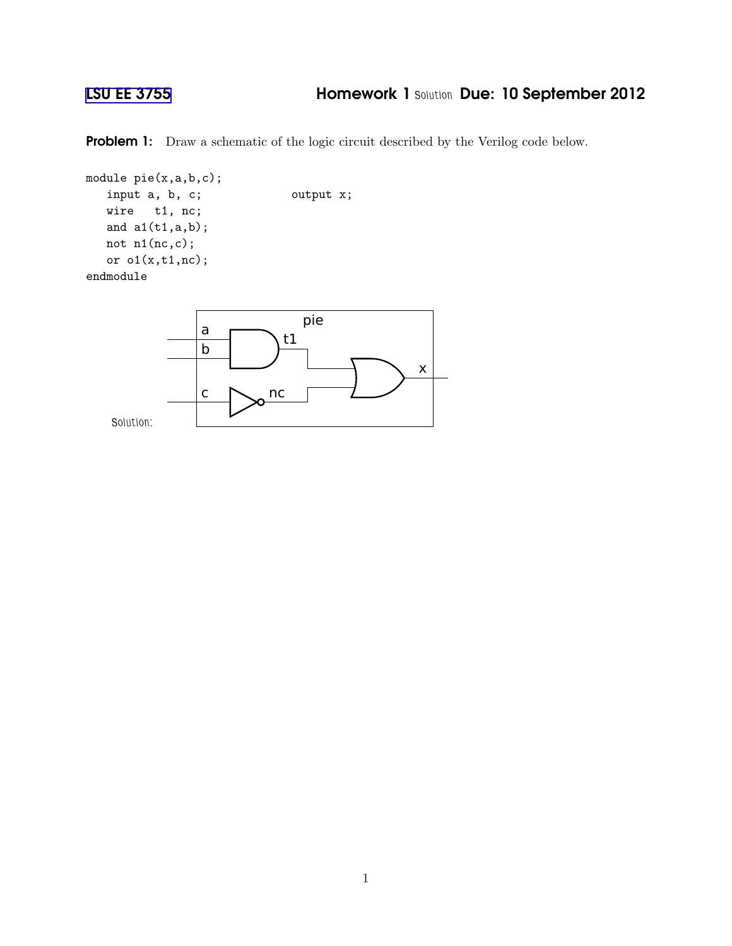## [LSU EE 3755](http://www.ece.lsu.edu/ee3755/) Homework 1 *Solution* Due: 10 September 2012

Problem 1: Draw a schematic of the logic circuit described by the Verilog code below.

```
module pie(x,a,b,c);
  input a, b, c; butput x;
  wire t1, nc;
  and a1(t1,a,b);
  not n1(nc,c);
  or o1(x,t1,nc);
endmodule
                             pie
```
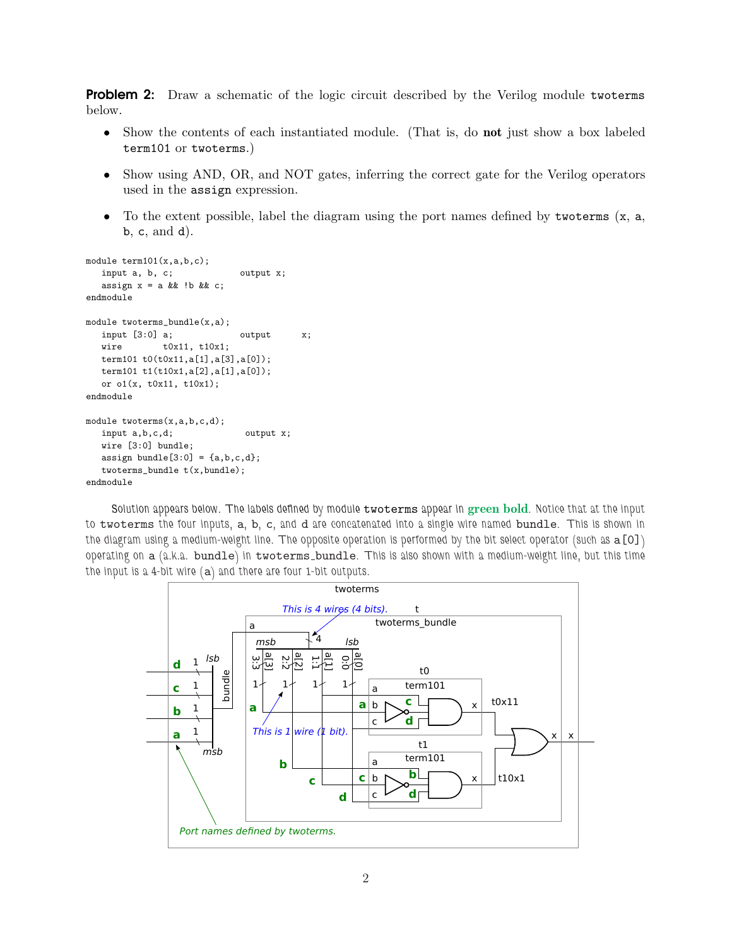**Problem 2:** Draw a schematic of the logic circuit described by the Verilog module twoterms below.

- Show the contents of each instantiated module. (That is, do **not** just show a box labeled term101 or twoterms.)
- Show using AND, OR, and NOT gates, inferring the correct gate for the Verilog operators used in the assign expression.
- To the extent possible, label the diagram using the port names defined by two terms  $(x, a,$ b, c, and d).

```
module term101(x,a,b,c);input a, b, c; output x;
  assign x = a & b !b & c;
endmodule
module twoterms_bundle(x,a);
  input [3:0] a; butput x;
  wire t0x11, t10x1;
  term101 t0(t0x11,a[1],a[3],a[0]);
  term101 t1(t10x1,a[2],a[1],a[0]);
  or o1(x, t0x11, t10x1);
endmodule
module twoterms(x,a,b,c,d);
  input a, b, c, d; output x;
  wire [3:0] bundle;
  assign bundle[3:0] = \{a,b,c,d\};twoterms_bundle t(x,bundle);
endmodule
```
*Solution appears below. The labels defined by module* twoterms *appear in* green bold*. Notice that at the input to* twoterms *the four inputs,* a*,* b*,* c*, and* d *are concatenated into a single wire named* bundle*. This is shown in the diagram using a medium-weight line. The opposite operation is performed by the bit select operator (such as* a[0]*) operating on* a *(a.k.a.* bundle*) in* twoterms bundle*. This is also shown with a medium-weight line, but this time the input is a 4-bit wire (*a*) and there are four 1-bit outputs.*